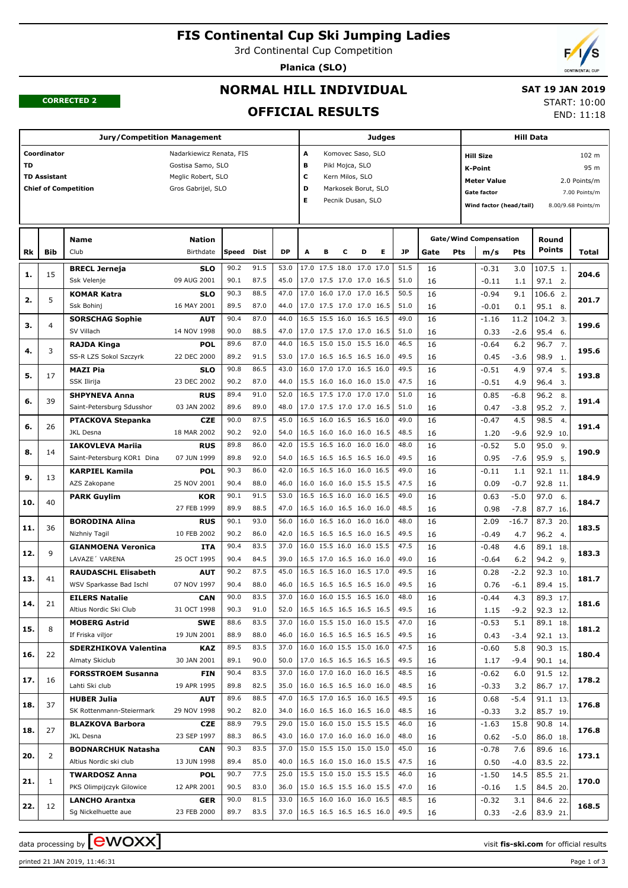## **FIS Continental Cup Ski Jumping Ladies**

3rd Continental Cup Competition

**Planica (SLO)**



#### **CORRECTED 2**

## **NORMAL HILL INDIVIDUAL**

**OFFICIAL RESULTS**

#### **SAT 19 JAN 2019** START: 10:00

END: 11:18

#### **Jury/Competition Management Coordinator** Nadarkiewicz Renata, FIS **TD** Gostisa Samo, SLO **TD Assistant** Meglic Robert, SLO **Chief of Competition** Gros Gabrijel, SLO **Judges A** Komovec Saso, SLO **B** Pikl Mojca, SLO **C** Kern Milos, SLO **D** Markosek Borut, SLO **E** Pecnik Dusan, SLO **Hill Data K-Point** 95 m **Hill Size** 102 m **Meter Value** 2.0 Points/m Gate factor **6** and 7.00 Points/m **Wind factor (head/tail)** 8.00/9.68 Points/m **Bib Name** Club Birthdate **Nation Rk Speed Dist DP A B C D E JP Total Round m/s Pts Points Gate/Wind Compensation Gate Pts BRECL Jerneja** Ssk Velenje **SLO** 09 AUG 2001 15 90.2 91.5 | 53.0 |17.0 17.5 18.0 17.0 17.0 | 51.5 | 16 | -0.31 3.0 |107.5 90.1 87.5 45.0 17.0 17.5 17.0 17.0 16.5 51.0 16. 1. **1. 204.6** 3.0 1.1 -0.31  $-0.11$  16 16 **KOMAR Katra** Ssk Bohinj **SLO** 16 MAY 2001 5 90.3 88.5 47.0 17.0 16.0 17.0 17.0 16.5 50.5 106.6 89.5 87.0 44.0 17.0 17.5 17.0 17.0 16.5 51.0 16. 9 -0.01 0.1 95.1 8 2. **2. 201.7**  $9.1$  0.1  $-0.94$ -0.01 16 16 **SORSCHAG Sophie** SV Villach **AUT** 14 NOV 1998 4 90.4 87.0 44.0 16.5 15.5 16.0 16.5 16.5 49.0 16 90.0 88.5 47.0 17.0 17.5 17.0 17.0 16.5 51.0 16.5 9 1.0 3. **3. 199.6**  $11.2$ -2.6  $-1.16$  0.33 16 16 **RAJDA Kinga** SS-R LZS Sokol Szczyrk **POL** 22 DEC 2000 3 89.6 87.0 | 44.0 | 16.5 15.0 15.0 15.5 16.0 | 46.5 | 16 | -0.64 6.2 | 96.7 89.2 91.5 53.0 17.0 16.5 16.5 16.5 16.0 49.5 16. 7. **4. 195.6**  $6.2$ -3.6  $-0.64$  0.45 16 16 **MAZI Pia** SSK Ilirija **SLO** 23 DEC 2002 17 90.8 86.5 43.0 16.0 17.0 17.0 16.5 16.0 49.5 16. 90.2 87.0 44.0 15.5 16.0 16.0 16.0 15.0 47.5 96.4 3. 5. **5. 193.8** 4.9 4.9  $-0.51$ -0.51 16 16 **SHPYNEVA Anna** Saint-Petersburg Sdusshor **RUS** 03 JAN 2002 39 89.4 91.0 52.0 16.5 17.5 17.0 17.0 17.0 51.0 16 16 0.85 -6.8 96.2 89.6 89.0 48.0 17.0 17.5 17.0 17.0 16.5 51.0 16 8. **6. 191.4** -6.8 -3.8 0.85 0.47 16 16 **PTACKOVA Stepanka** JKL Desna **CZE** 18 MAR 2002 26 90.0 87.5 45.0 16.5 16.0 16.5 16.5 16.0 49.0 98.5 90.2 92.0 54.0 16.5 16.0 16.0 16.0 16.5 48.5 16.0 16.5 16.0 16.9 16.9 16.9 2.9 10. 4. **6. 191.4** 4.5 -9.6  $-0.47$  1.20 16 16 **IAKOVLEVA Mariia** Saint-Petersburg KOR1 Dina **RUS** 07 JUN 1999 14 89.8 86.0 | 42.0 |15.5 16.5 16.0 16.0 | 48.0 | 16 | -0.52 5.0 | 95.0 89.8 92.0 54.0 16.5 16.5 16.5 16.5 16.0 49.5 16 0.95 -7.6 95.9 5. 9. **8. 190.9**  $5.0$ -7.6 -0.52 0.95 16 16 **KARPIEL Kamila** AZS Zakopane **POL** 25 NOV 2001 13 90.3 86.0 42.0 16.5 16.5 16.0 16.0 16.5 49.0 16 90.4 88.0 46.0 16.0 16.0 16.0 15.5 15.5 47.5 92.8 11. 11. **9. 184.9** 1.1 -0.7  $-0.11$  0.09 16 16 **PARK Guylim KOR** 27 FEB 1999 40 90.1 91.5 | 53.0 |16.5 16.5 16.0 16.0 16.5 | 49.0 | 16 | 0.63 -5.0 | 97.0 89.9 88.5 47.0 16.5 16.0 16.5 16.0 16.0 48.5 87.7 16. 6. **10. 184.7** -5.0 -7.8 0.63 0.98 16 16 **BORODINA Alina** Nizhniy Tagil **RUS** 10 FEB 2002 36 90.1 93.0 | 56.0 |16.0 16.5 16.0 16.0 |48.0 | 16 | 2.09 -16.7 | 87.3 90.2 86.0 42.0 16.5 16.5 16.5 16.0 16.5 49.5 16 20. **11. 183.5**  $-16.7$  4.7 2.09 -0.49 16 16 **GIANMOENA Veronica** LAVAZE´ VARENA **ITA** 25 OCT 1995 9 90.4 83.5 37.0 16.0 15.5 16.0 16.0 15.5 47.5 16 90.4 84.5 39.0 16.5 17.0 16.5 16.0 16.0 49.0 16 18. **12. 183.3** 4.6 6.2  $-0.48$ -0.64 16 16 **RAUDASCHL Elisabeth** WSV Sparkasse Bad Ischl **AUT** 07 NOV 1997 41 90.2 87.5 | 45.0 |16.5 16.5 16.0 16.5 17.0 | 49.5 | 16 | 0.28 -2.2 | 92.3 90.4 88.0 46.0 16.5 16.5 16.5 16.5 16.0 49.5 89.4 15.  $\overline{10}$ **13. 181.7**  $-2.2$ -6.1 0.28 0.76 16 16 **EILERS Natalie** Altius Nordic Ski Club **CAN** 31 OCT 1998 21 90.0 83.5 37.0 16.0 16.0 15.5 16.5 16.0 48.0 16  $-0.44$  4.3 89.3 90.3 91.0 52.0 16.5 16.5 16.5 16.5 16.5 | 49.5 | 16. | 1.15 -9.2 | 92.3 12. 17. **14. 181.6**  $4.3$  $-9.2$  $-0.44$  1.15 16 16 **MOBERG Astrid** If Friska viljor **SWE** 19 JUN 2001 8 88.6 83.5 37.0 16.0 15.5 15.0 16.0 15.5 47.0 89.1 88.9 88.0 46.0 16.0 16.5 16.5 16.5 16.5 49.5 16. 18. **15. 181.2** 5.1 -3.4 -0.53 0.43 16 16 **SDERZHIKOVA Valentina** Almaty Skiclub **KAZ** 30 JAN 2001 22 89.5 83.5 37.0 16.0 16.0 15.5 15.0 16.0 47.5 90.3 89.1 90.0 | 50.0 |17.0 16.5 16.5 16.5 16.5 | 49.5 | 16 | 1.17 -9.4 | 90.1 14. 15. **16. 180.4** 5.8 -9.4 -0.60 1.17 16 16 **FORSSTROEM Susanna** Lahti Ski club **FIN** 19 APR 1995 16 90.4 83.5 | 37.0 |16.0 17.0 16.0 16.0 16.5 | 48.5 | 16 | -0.62 6.0 | 91.5 89.8 82.5 35.0 16.0 16.5 16.5 16.0 16.0 48.5 16 12. **17. 178.2** 6.0 3.2  $-0.62$ -0.33 16 16 **HUBER Julia** SK Rottenmann-Steiermark **AUT** 29 NOV 1998 37 89.6 88.5 | 47.0 | 16.5 17.0 16.5 16.0 16.5 | 49.5 | 16 | 16 | 0.68 - 5.4 | 91.1 90.2 82.0 34.0 16.0 16.5 16.0 16.5 16.0 48.5 85.7 19.  $\frac{1}{13}$ **18. 176.8** -5.4 3.2 0.68 -0.33 16 16 **BLAZKOVA Barbora** JKL Desna **CZE** 23 SEP 1997 27 88.9 79.5 29.0 15.0 16.0 15.0 15.5 15.5 46.0 90.8 88.3 86.5 43.0 16.0 17.0 16.0 16.0 16.0 48.0 86.0 18. 14. **18. 176.8** 15.8 -5.0 -1.63 0.62 16 16 **BODNARCHUK Natasha** Altius Nordic ski club **CAN** 13 JUN 1998 2 90.3 83.5 37.0 15.0 15.5 15.0 15.0 15.0 45.0 16  $89.4$   $85.0$   $40.0$   $16.5$   $16.0$   $15.0$   $16.0$   $15.5$   $47.5$   $16.0$   $16.5$   $16.5$   $16.7$   $16.7$   $16.8$   $16.7$   $16.8$   $16.9$   $16.8$   $16.9$   $16.8$   $16.9$   $16.9$   $16.9$   $16.9$   $16.9$   $16.9$   $16.9$   $16.9$   $16.9$   $16.9$   $16.$ 16. **20. 173.1** 7.6  $-4.0$  $-0.78$  0.50 16 16 **TWARDOSZ Anna** PKS Olimpijczyk Gilowice **POL** 12 APR 2001 1 90.7 77.5 25.0 15.5 15.0 15.0 15.5 15.5 46.0 16 90.5 83.0 36.0 15.0 16.5 15.5 16.0 15.5 47.0 84.5 20. 21. **21. 170.0** 14.5 1.5 -1.50 -0.16 16 16 **LANCHO Arantxa** Sg Nickelhuette aue **GER** 23 FEB 2000 12 90.0 81.5 | 33.0 |16.5 16.0 16.0 16.0 16.5 | 48.5 | 16 |  $-0.32$  3.1 | 84.6 89.7 83.5 37.0 16.5 16.5 16.5 16.5 16.0 49.5 16  $22$ **22. 168.5**  $3.1$ -2.6  $-0.32$  0.33 16 16

data processing by  $\boxed{\text{ewOX}}$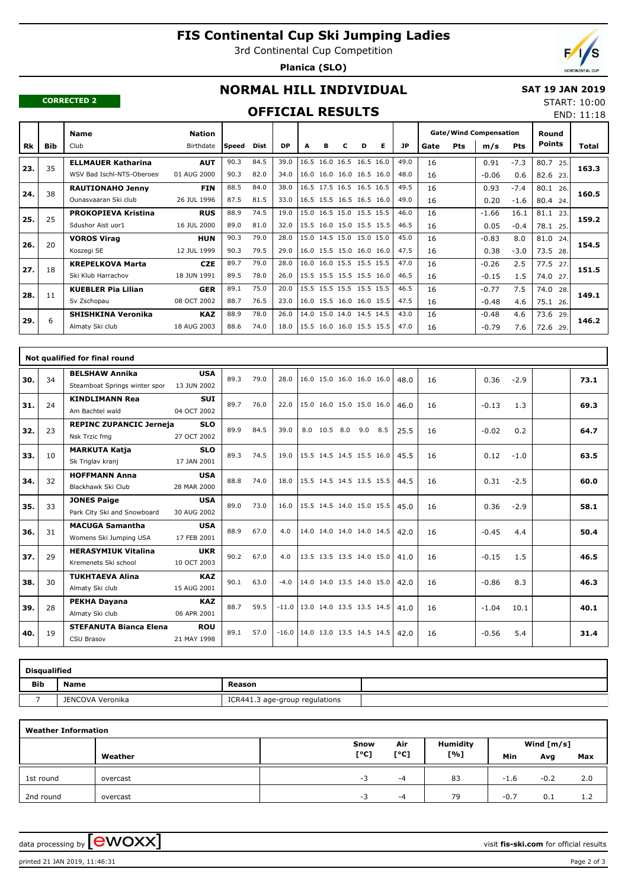# **FIS Continental Cup Ski Jumping Ladies**

3rd Continental Cup Competition

**Planica (SLO)**



END: 11:18

#### **CORRECTED 2**

# **NORMAL HILL INDIVIDUAL**

## **SAT 19 JAN 2019** START: 10:00

## **OFFICIAL RESULTS**

|     |            | <b>Name</b>                | <b>Nation</b> |       |             |           |   |   |   |                          |   |           |      |            | <b>Gate/Wind Compensation</b> |            | Round         |       |
|-----|------------|----------------------------|---------------|-------|-------------|-----------|---|---|---|--------------------------|---|-----------|------|------------|-------------------------------|------------|---------------|-------|
| Rk  | <b>Bib</b> | Club                       | Birthdate     | Speed | <b>Dist</b> | <b>DP</b> | A | в | c | D                        | Е | <b>JP</b> | Gate | <b>Pts</b> | m/s                           | <b>Pts</b> | <b>Points</b> | Total |
|     | 35         | <b>ELLMAUER Katharina</b>  | <b>AUT</b>    | 90.3  | 84.5        | 39.0      |   |   |   | 16.5 16.0 16.5 16.5 16.0 |   | 49.0      | 16   |            | 0.91                          | $-7.3$     | 80.7<br>25.   |       |
| 23. |            | WSV Bad Ischl-NTS-Oberoes  | 01 AUG 2000   | 90.3  | 82.0        | 34.0      |   |   |   | 16.0 16.0 16.0 16.5 16.0 |   | 48.0      | 16   |            | $-0.06$                       | 0.6        | 82.6<br>23.   | 163.3 |
| 24. | 38         | <b>RAUTIONAHO Jenny</b>    | <b>FIN</b>    | 88.5  | 84.0        | 38.0      |   |   |   | 16.5 17.5 16.5 16.5 16.5 |   | 49.5      | 16   |            | 0.93                          | $-7.4$     | 80.1<br>26.   | 160.5 |
|     |            | Ounasyaaran Ski club       | 26 JUL 1996   | 87.5  | 81.5        | 33.0      |   |   |   | 16.5 15.5 16.5 16.5 16.0 |   | 49.0      | 16   |            | 0.20                          | $-1.6$     | 80.4 24.      |       |
| 25. | 25         | <b>PROKOPIEVA Kristina</b> | <b>RUS</b>    | 88.9  | 74.5        | 19.0      |   |   |   | 15.0 16.5 15.0 15.5 15.5 |   | 46.0      | 16   |            | $-1.66$                       | 16.1       | 81.1<br>23.   | 159.2 |
|     |            | Sdushor Aist uor1          | 16 JUL 2000   | 89.0  | 81.0        | 32.0      |   |   |   | 15.5 16.0 15.0 15.5 15.5 |   | 46.5      | 16   |            | 0.05                          | $-0.4$     | 78.1<br>25.   |       |
| 26. | 20         | <b>VOROS Virag</b>         | <b>HUN</b>    | 90.3  | 79.0        | 28.0      |   |   |   | 15.0 14.5 15.0 15.0 15.0 |   | 45.0      | 16   |            | $-0.83$                       | 8.0        | 81.0<br>24.   | 154.5 |
|     |            | Koszegi SE                 | 12 JUL 1999   | 90.3  | 79.5        | 29.0      |   |   |   | 16.0 15.5 15.0 16.0 16.0 |   | 47.5      | 16   |            | 0.38                          | $-3.0$     | 73.5 28.      |       |
| 27. | 18         | <b>KREPELKOVA Marta</b>    | <b>CZE</b>    | 89.7  | 79.0        | 28.0      |   |   |   | 16.0 16.0 15.5 15.5 15.5 |   | 47.0      | 16   |            | $-0.26$                       | 2.5        | 77.5<br>27    | 151.5 |
|     |            | Ski Klub Harrachov         | 18 JUN 1991   | 89.5  | 78.0        | 26.0      |   |   |   | 15.5 15.5 15.5 15.5 16.0 |   | 46.5      | 16   |            | $-0.15$                       | 1.5        | 74.0<br>27    |       |
| 28. | 11         | <b>KUEBLER Pia Lilian</b>  | <b>GER</b>    | 89.1  | 75.0        | 20.0      |   |   |   | 15.5 15.5 15.5 15.5 15.5 |   | 46.5      | 16   |            | $-0.77$                       | 7.5        | 74.0<br>28.   | 149.1 |
|     |            | Sv Zschopau                | 08 OCT 2002   | 88.7  | 76.5        | 23.0      |   |   |   | 16.0 15.5 16.0 16.0 15.5 |   | 47.5      | 16   |            | $-0.48$                       | 4.6        | 75.1 26.      |       |
| 29. | 6          | <b>SHISHKINA Veronika</b>  | <b>KAZ</b>    | 88.9  | 78.0        | 26.0      |   |   |   | 14.0 15.0 14.0 14.5 14.5 |   | 43.0      | 16   |            | $-0.48$                       | 4.6        | 73.6<br>29.   | 146.2 |
|     |            | Almaty Ski club            | 18 AUG 2003   | 88.6  | 74.0        | 18.0      |   |   |   | 15.5 16.0 16.0 15.5 15.5 |   | 47.0      | 16   |            | $-0.79$                       | 7.6        | 72.6<br>29.   |       |

|     |    | Not qualified for final round  |             |      |      |         |                                    |     |     |      |    |         |        |      |
|-----|----|--------------------------------|-------------|------|------|---------|------------------------------------|-----|-----|------|----|---------|--------|------|
| 30. | 34 | <b>BELSHAW Annika</b>          | <b>USA</b>  | 89.3 | 79.0 | 28.0    | 16.0 15.0 16.0 16.0 16.0           |     |     | 48.0 | 16 | 0.36    | $-2.9$ | 73.1 |
|     |    | Steamboat Springs winter spor  | 13 JUN 2002 |      |      |         |                                    |     |     |      |    |         |        |      |
| 31. | 24 | <b>KINDLIMANN Rea</b>          | <b>SUI</b>  | 89.7 | 76.0 | 22.0    | 15.0 16.0 15.0 15.0 16.0           |     |     | 46.0 | 16 | $-0.13$ | 1.3    | 69.3 |
|     |    | Am Bachtel wald                | 04 OCT 2002 |      |      |         |                                    |     |     |      |    |         |        |      |
| 32. | 23 | <b>REPINC ZUPANCIC Jerneja</b> | <b>SLO</b>  | 89.9 | 84.5 | 39.0    | 8.0 10.5 8.0                       | 9.0 | 8.5 | 25.5 | 16 | $-0.02$ | 0.2    | 64.7 |
|     |    | Nsk Trzic fmg                  | 27 OCT 2002 |      |      |         |                                    |     |     |      |    |         |        |      |
| 33. | 10 | <b>MARKUTA Katja</b>           | <b>SLO</b>  | 89.3 | 74.5 | 19.0    | 15.5 14.5 14.5 15.5 16.0           |     |     | 45.5 | 16 | 0.12    | $-1.0$ | 63.5 |
|     |    | Sk Triglav kranj               | 17 JAN 2001 |      |      |         |                                    |     |     |      |    |         |        |      |
| 34. | 32 | <b>HOFFMANN Anna</b>           | <b>USA</b>  | 88.8 | 74.0 | 18.0    | 15.5 14.5 14.5 13.5 15.5           |     |     | 44.5 | 16 | 0.31    | $-2.5$ | 60.0 |
|     |    | Blackhawk Ski Club             | 28 MAR 2000 |      |      |         |                                    |     |     |      |    |         |        |      |
| 35. | 33 | <b>JONES Paige</b>             | <b>USA</b>  | 89.0 | 73.0 | 16.0    | 15.5 14.5 14.0 15.0 15.5           |     |     | 45.0 | 16 | 0.36    | $-2.9$ | 58.1 |
|     |    | Park City Ski and Snowboard    | 30 AUG 2002 |      |      |         |                                    |     |     |      |    |         |        |      |
| 36. | 31 | <b>MACUGA Samantha</b>         | <b>USA</b>  | 88.9 | 67.0 | 4.0     | 14.0 14.0 14.0 14.0 14.5           |     |     | 42.0 | 16 | $-0.45$ | 4.4    | 50.4 |
|     |    | Womens Ski Jumping USA         | 17 FEB 2001 |      |      |         |                                    |     |     |      |    |         |        |      |
| 37. | 29 | <b>HERASYMIUK Vitalina</b>     | <b>UKR</b>  | 90.2 | 67.0 | 4.0     | 13.5 13.5 13.5 14.0 15.0           |     |     | 41.0 | 16 | $-0.15$ | 1.5    | 46.5 |
|     |    | Kremenets Ski school           | 10 OCT 2003 |      |      |         |                                    |     |     |      |    |         |        |      |
| 38. | 30 | <b>TUKHTAEVA Alina</b>         | <b>KAZ</b>  | 90.1 | 63.0 | $-4.0$  | 14.0 14.0 13.5 14.0 15.0           |     |     | 42.0 | 16 | $-0.86$ | 8.3    | 46.3 |
|     |    | Almaty Ski club                | 15 AUG 2001 |      |      |         |                                    |     |     |      |    |         |        |      |
| 39. | 28 | <b>PEKHA Dayana</b>            | <b>KAZ</b>  | 88.7 | 59.5 | $-11.0$ | $13.0$ 14.0 13.5 13.5 14.5         |     |     | 41.0 | 16 | $-1.04$ | 10.1   | 40.1 |
|     |    | Almaty Ski club                | 06 APR 2001 |      |      |         |                                    |     |     |      |    |         |        |      |
| 40. | 19 | <b>STEFANUTA Bianca Elena</b>  | <b>ROU</b>  | 89.1 | 57.0 |         | $-16.0$   14.0 13.0 13.5 14.5 14.5 |     |     | 42.0 | 16 | $-0.56$ | 5.4    | 31.4 |
|     |    | <b>CSU Brasov</b>              | 21 MAY 1998 |      |      |         |                                    |     |     |      |    |         |        |      |

| <b>Disqualified</b> |                  |                                |  |  |  |  |  |  |  |  |  |
|---------------------|------------------|--------------------------------|--|--|--|--|--|--|--|--|--|
| <b>Bib</b>          | <b>Name</b>      | Reason                         |  |  |  |  |  |  |  |  |  |
|                     | JENCOVA Veronika | ICR441.3 age-group regulations |  |  |  |  |  |  |  |  |  |

| <b>Weather Information</b> |          |      |      |                 |              |        |     |  |  |  |  |  |  |
|----------------------------|----------|------|------|-----------------|--------------|--------|-----|--|--|--|--|--|--|
|                            |          | Snow | Air  | <b>Humidity</b> | Wind $[m/s]$ |        |     |  |  |  |  |  |  |
|                            | Weather  | [°C] | [°C] | [%]             | Min          | Avg    | Max |  |  |  |  |  |  |
| 1st round                  | overcast | -3   | -4   | 83              | $-1.6$       | $-0.2$ | 2.0 |  |  |  |  |  |  |
| 2nd round                  | overcast | -3   | -4   | 79              | $-0.7$       | 0.1    | 1.2 |  |  |  |  |  |  |

data processing by **CWOXX**  $\blacksquare$ 

printed 21 JAN 2019, 11:46:31 Page 2 of 3